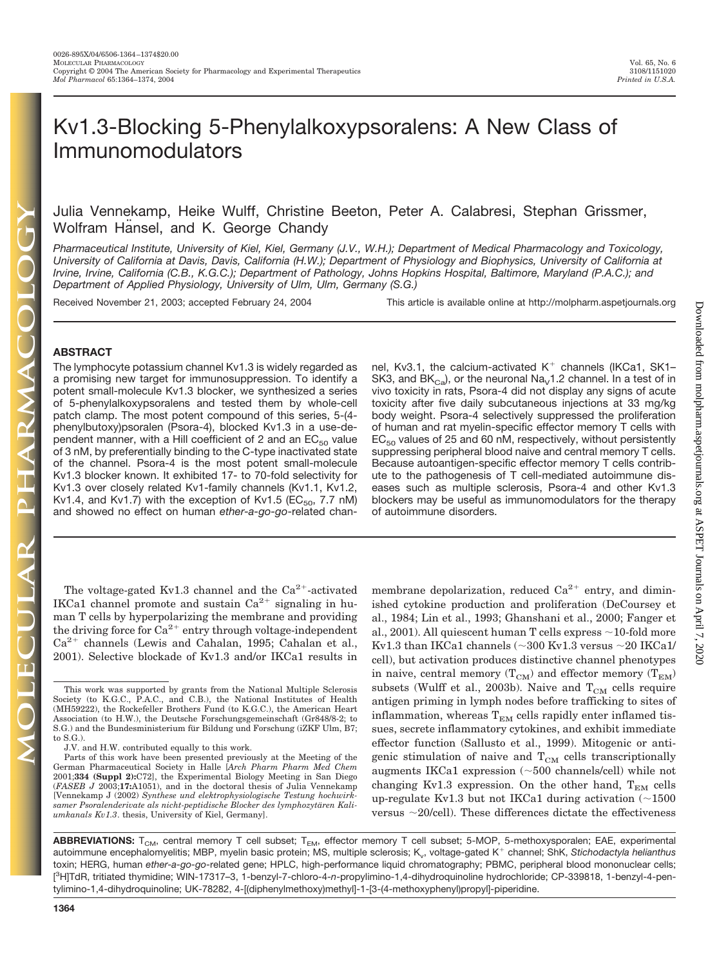Downloaded from molpharm.aspetjournals.org at ASPET Journals on April 7, 2020 Downloaded from [molpharm.aspetjournals.org](http://molpharm.aspetjournals.org/) at ASPET Journals on April 7, 2020

# Kv1.3-Blocking 5-Phenylalkoxypsoralens: A New Class of Immunomodulators

# Julia Vennekamp, Heike Wulff, Christine Beeton, Peter A. Calabresi, Stephan Grissmer, Wolfram Hansel, and K. George Chandy

*Pharmaceutical Institute, University of Kiel, Kiel, Germany (J.V., W.H.); Department of Medical Pharmacology and Toxicology, University of California at Davis, Davis, California (H.W.); Department of Physiology and Biophysics, University of California at Irvine, Irvine, California (C.B., K.G.C.); Department of Pathology, Johns Hopkins Hospital, Baltimore, Maryland (P.A.C.); and Department of Applied Physiology, University of Ulm, Ulm, Germany (S.G.)*

Received November 21, 2003; accepted February 24, 2004 This article is available online at http://molpharm.aspetjournals.org

# **ABSTRACT**

The lymphocyte potassium channel Kv1.3 is widely regarded as a promising new target for immunosuppression. To identify a potent small-molecule Kv1.3 blocker, we synthesized a series of 5-phenylalkoxypsoralens and tested them by whole-cell patch clamp. The most potent compound of this series, 5-(4 phenylbutoxy)psoralen (Psora-4), blocked Kv1.3 in a use-dependent manner, with a Hill coefficient of 2 and an  $EC_{50}$  value of 3 nM, by preferentially binding to the C-type inactivated state of the channel. Psora-4 is the most potent small-molecule Kv1.3 blocker known. It exhibited 17- to 70-fold selectivity for Kv1.3 over closely related Kv1-family channels (Kv1.1, Kv1.2, Kv1.4, and Kv1.7) with the exception of Kv1.5 (EC<sub>50</sub>, 7.7 nM) and showed no effect on human *ether-a-go-go*-related chan-

The voltage-gated Kv1.3 channel and the  $Ca^{2+}$ -activated IKCa1 channel promote and sustain  $Ca^{2+}$  signaling in human T cells by hyperpolarizing the membrane and providing the driving force for  $Ca^{2+}$  entry through voltage-independent  $Ca^{2+}$  channels (Lewis and Cahalan, 1995; Cahalan et al., 2001). Selective blockade of Kv1.3 and/or IKCa1 results in nel, Kv3.1, the calcium-activated  $K^+$  channels (IKCa1, SK1– SK3, and BK $_{Ca}$ ), or the neuronal Na<sub>v</sub>1.2 channel. In a test of in vivo toxicity in rats, Psora-4 did not display any signs of acute toxicity after five daily subcutaneous injections at 33 mg/kg body weight. Psora-4 selectively suppressed the proliferation of human and rat myelin-specific effector memory T cells with  $EC_{50}$  values of 25 and 60 nM, respectively, without persistently suppressing peripheral blood naive and central memory T cells. Because autoantigen-specific effector memory T cells contribute to the pathogenesis of T cell-mediated autoimmune diseases such as multiple sclerosis, Psora-4 and other Kv1.3 blockers may be useful as immunomodulators for the therapy of autoimmune disorders.

membrane depolarization, reduced  $Ca^{2+}$  entry, and diminished cytokine production and proliferation (DeCoursey et al., 1984; Lin et al., 1993; Ghanshani et al., 2000; Fanger et al., 2001). All quiescent human T cells express  $\sim$ 10-fold more Kv1.3 than IKCa1 channels (~300 Kv1.3 versus ~20 IKCa1/ cell), but activation produces distinctive channel phenotypes in naive, central memory  $(T_{CM})$  and effector memory  $(T_{EM})$ subsets (Wulff et al., 2003b). Naive and  $T_{CM}$  cells require antigen priming in lymph nodes before trafficking to sites of inflammation, whereas  $T_{EM}$  cells rapidly enter inflamed tissues, secrete inflammatory cytokines, and exhibit immediate effector function (Sallusto et al., 1999). Mitogenic or antigenic stimulation of naive and  $T_{CM}$  cells transcriptionally augments IKCa1 expression  $($   $\sim$  500 channels/cell) while not changing Kv1.3 expression. On the other hand,  $T_{EM}$  cells up-regulate Kv1.3 but not IKCa1 during activation ( $\sim$ 1500 versus  $\sim$ 20/cell). These differences dictate the effectiveness

ABBREVIATIONS: T<sub>CM</sub>, central memory T cell subset; T<sub>EM</sub>, effector memory T cell subset; 5-MOP, 5-methoxysporalen; EAE, experimental autoimmune encephalomyelitis; MBP, myelin basic protein; MS, multiple sclerosis; K<sub>y</sub>, voltage-gated K<sup>+</sup> channel; ShK, Stichodactyla helianthus toxin; HERG, human *ether-a-go-go*-related gene; HPLC, high-performance liquid chromatography; PBMC, peripheral blood mononuclear cells; [ 3 H]TdR, tritiated thymidine; WIN-17317–3, 1-benzyl-7-chloro-4-*n*-propylimino-1,4-dihydroquinoline hydrochloride; CP-339818, 1-benzyl-4-pentylimino-1,4-dihydroquinoline; UK-78282, 4-[(diphenylmethoxy)methyl]-1-[3-(4-methoxyphenyl)propyl]-piperidine.

This work was supported by grants from the National Multiple Sclerosis Society (to K.G.C., P.A.C., and C.B.), the National Institutes of Health (MH59222), the Rockefeller Brothers Fund (to K.G.C.), the American Heart Association (to H.W.), the Deutsche Forschungsgemeinschaft (Gr848/8-2; to S.G.) and the Bundesministerium für Bildung und Forschung (iZKF Ulm, B7; to S.G.).

J.V. and H.W. contributed equally to this work.

Parts of this work have been presented previously at the Meeting of the German Pharmaceutical Society in Halle [*Arch Pharm Pharm Med Chem* 2001;**334 (Suppl 2):**C72], the Experimental Biology Meeting in San Diego (*FASEB J* 2003;**17:**A1051), and in the doctoral thesis of Julia Vennekamp [Vennekamp J (2002) *Synthese und elektrophysiologische Testung hochwirk*samer Psoralenderivate als nicht-peptidische Blocker des lymphozytären Kali*umkanals Kv1.3*. thesis, University of Kiel, Germany].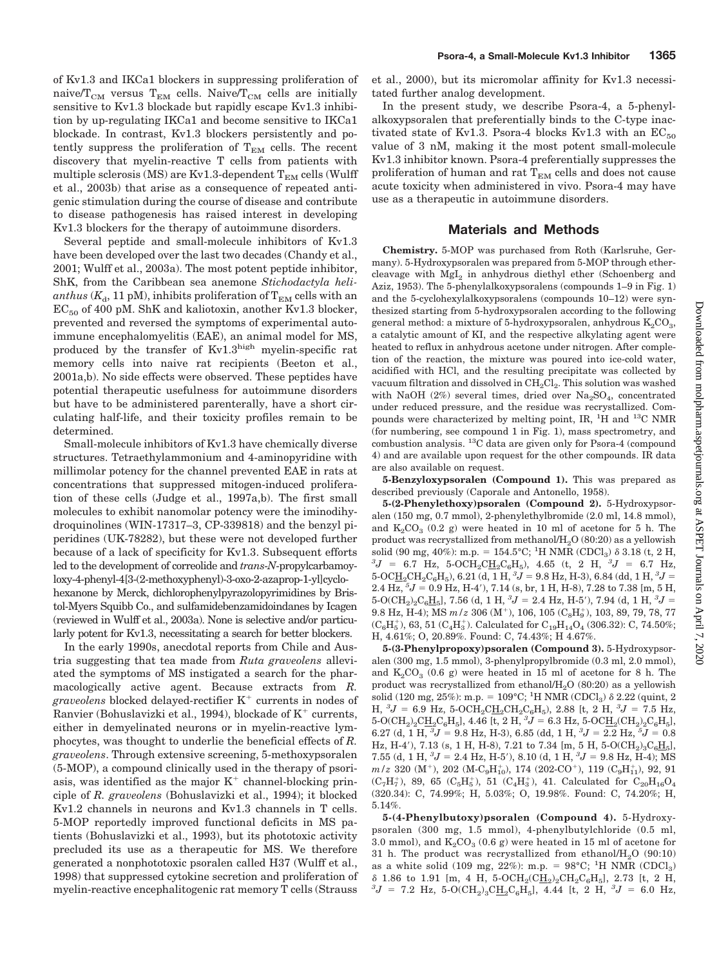of Kv1.3 and IKCa1 blockers in suppressing proliferation of naive/ $T_{CM}$  versus  $T_{EM}$  cells. Naive/ $T_{CM}$  cells are initially sensitive to Kv1.3 blockade but rapidly escape Kv1.3 inhibition by up-regulating IKCa1 and become sensitive to IKCa1 blockade. In contrast, Kv1.3 blockers persistently and potently suppress the proliferation of  $T_{EM}$  cells. The recent discovery that myelin-reactive T cells from patients with multiple sclerosis (MS) are Kv1.3-dependent  $T_{EM}$  cells (Wulff et al., 2003b) that arise as a consequence of repeated antigenic stimulation during the course of disease and contribute to disease pathogenesis has raised interest in developing Kv1.3 blockers for the therapy of autoimmune disorders.

Several peptide and small-molecule inhibitors of Kv1.3 have been developed over the last two decades (Chandy et al., 2001; Wulff et al., 2003a). The most potent peptide inhibitor, ShK, from the Caribbean sea anemone *Stichodactyla heli*anthus  $(K_d, 11 \text{ pM})$ , inhibits proliferation of  $T_{EM}$  cells with an  $EC_{50}$  of 400 pM. ShK and kaliotoxin, another Kv1.3 blocker, prevented and reversed the symptoms of experimental autoimmune encephalomyelitis (EAE), an animal model for MS, produced by the transfer of  $Kv1.3^{high}$  myelin-specific rat memory cells into naive rat recipients (Beeton et al., 2001a,b). No side effects were observed. These peptides have potential therapeutic usefulness for autoimmune disorders but have to be administered parenterally, have a short circulating half-life, and their toxicity profiles remain to be determined.

Small-molecule inhibitors of Kv1.3 have chemically diverse structures. Tetraethylammonium and 4-aminopyridine with millimolar potency for the channel prevented EAE in rats at concentrations that suppressed mitogen-induced proliferation of these cells (Judge et al., 1997a,b). The first small molecules to exhibit nanomolar potency were the iminodihydroquinolines (WIN-17317–3, CP-339818) and the benzyl piperidines (UK-78282), but these were not developed further because of a lack of specificity for Kv1.3. Subsequent efforts led to the development of correolide and *trans*-*N*-propylcarbamoyloxy-4-phenyl-4[3-(2-methoxyphenyl)-3-oxo-2-azaprop-1-yl]cyclohexanone by Merck, dichlorophenylpyrazolopyrimidines by Bristol-Myers Squibb Co., and sulfamidebenzamidoindanes by Icagen (reviewed in Wulff et al., 2003a). None is selective and/or particularly potent for Kv1.3, necessitating a search for better blockers.

In the early 1990s, anecdotal reports from Chile and Austria suggesting that tea made from *Ruta graveolens* alleviated the symptoms of MS instigated a search for the pharmacologically active agent. Because extracts from *R. graveolens* blocked delayed-rectifier K<sup>+</sup> currents in nodes of Ranvier (Bohuslavizki et al., 1994), blockade of  $K^+$  currents, either in demyelinated neurons or in myelin-reactive lymphocytes, was thought to underlie the beneficial effects of *R. graveolens*. Through extensive screening, 5-methoxypsoralen (5-MOP), a compound clinically used in the therapy of psoriasis, was identified as the major  $K^+$  channel-blocking principle of *R. graveolens* (Bohuslavizki et al., 1994); it blocked Kv1.2 channels in neurons and Kv1.3 channels in T cells. 5-MOP reportedly improved functional deficits in MS patients (Bohuslavizki et al., 1993), but its phototoxic activity precluded its use as a therapeutic for MS. We therefore generated a nonphototoxic psoralen called H37 (Wulff et al., 1998) that suppressed cytokine secretion and proliferation of myelin-reactive encephalitogenic rat memory T cells (Strauss

et al., 2000), but its micromolar affinity for Kv1.3 necessitated further analog development.

In the present study, we describe Psora-4, a 5-phenylalkoxypsoralen that preferentially binds to the C-type inactivated state of Kv1.3. Psora-4 blocks Kv1.3 with an  $EC_{50}$ value of 3 nM, making it the most potent small-molecule Kv1.3 inhibitor known. Psora-4 preferentially suppresses the proliferation of human and rat  $T_{EM}$  cells and does not cause acute toxicity when administered in vivo. Psora-4 may have use as a therapeutic in autoimmune disorders.

# **Materials and Methods**

**Chemistry.** 5-MOP was purchased from Roth (Karlsruhe, Germany). 5-Hydroxypsoralen was prepared from 5-MOP through ethercleavage with  $Mgl<sub>2</sub>$  in anhydrous diethyl ether (Schoenberg and Aziz, 1953). The 5-phenylalkoxypsoralens (compounds 1–9 in Fig. 1) and the 5-cyclohexylalkoxypsoralens (compounds 10–12) were synthesized starting from 5-hydroxypsoralen according to the following general method: a mixture of 5-hydroxypsoralen, anhydrous  $K_2CO_3$ , a catalytic amount of KI, and the respective alkylating agent were heated to reflux in anhydrous acetone under nitrogen. After completion of the reaction, the mixture was poured into ice-cold water, acidified with HCl, and the resulting precipitate was collected by vacuum filtration and dissolved in  $\rm CH_2Cl_2$ . This solution was washed with NaOH (2%) several times, dried over  $\text{Na}_2\text{SO}_4$ , concentrated under reduced pressure, and the residue was recrystallized. Compounds were characterized by melting point, IR, <sup>1</sup>H and <sup>13</sup>C NMR (for numbering, see compound 1 in Fig. 1), mass spectrometry, and combustion analysis.  ${}^{13}$ C data are given only for Psora-4 (compound 4) and are available upon request for the other compounds. IR data are also available on request.

**5-Benzyloxypsoralen (Compound 1).** This was prepared as described previously (Caporale and Antonello, 1958).

**5-(2-Phenylethoxy)psoralen (Compound 2).** 5-Hydroxypsoralen (150 mg, 0.7 mmol), 2-phenylethylbromide (2.0 ml, 14.8 mmol), and  $K_2CO_3$  (0.2 g) were heated in 10 ml of acetone for 5 h. The product was recrystallized from methanol/ $H<sub>2</sub>O$  (80:20) as a yellowish solid (90 mg, 40%): m.p. = 154.5°C; <sup>1</sup>H NMR (CDCl<sub>3</sub>)  $\delta$  3.18 (t, 2 H, <sup>3</sup>*I* – 6.7 H<sub>7</sub>  $J = 6.7$  Hz, 5-OCH<sub>2</sub>C<sub>H<sub>2</sub>C<sub>6</sub>H<sub>5</sub></sub>), 4.65 (t, 2 H, <sup>3</sup> $J = 6.7$  Hz,  $5\text{-} \text{O}\text{C}\underline{\text{H}}_2\text{C}\text{H}_2\text{C}_6\text{H}_5$ ), 6.21 (d, 1 H,  ${}^3\!J$  = 9.8 Hz, H-3), 6.84 (dd, 1 H,  ${}^3\!J$  =  $2.4$  Hz,  $5J = 0.9$  Hz, H-4'),  $7.14$  (s, br, 1 H, H-8),  $7.28$  to  $7.38$  [m, 5 H, 5-O(CH<sub>2</sub>)<sub>2</sub>C<sub>6</sub>H<sub>5</sub>], 7.56 (d, 1 H, <sup>3</sup>J = 2.4 Hz, H-5'), 7.94 (d, 1 H, <sup>3</sup>J =  $9.8$  Hz, H-4); MS  $m\,{\rm /z}$   $306$   $({\rm M^+}),$   $106,$   $105$   $({\rm C_8H_9^+}),$   $103,$   $89,$   $79,$   $78,$   $77$  $(\mathrm{C_6H_5^+}),$  63, 51  $(\mathrm{C_4H_3^+}).$  Calculated for  $\mathrm{C_{19}H_{14}O_4}$  (306.32): C, 74.50%; H, 4.61%; O, 20.89%. Found: C, 74.43%; H 4.67%.

**5-(3-Phenylpropoxy)psoralen (Compound 3).** 5-Hydroxypsoralen (300 mg, 1.5 mmol), 3-phenylpropylbromide (0.3 ml, 2.0 mmol), and  $K_2CO_3$  (0.6 g) were heated in 15 ml of acetone for 8 h. The product was recrystallized from ethanol/ $H<sub>2</sub>O$  (80:20) as a yellowish solid (120 mg, 25%): m.p. = 109°C; <sup>1</sup>H NMR (CDCl<sub>3</sub>)  $\delta$  2.22 (quint, 2  $H, {}^{3}J = 6.9$  Hz, 5-OCH<sub>2</sub>CH<sub>2</sub>CH<sub>2</sub>C<sub>6</sub>H<sub>5</sub>), 2.88 [t, 2 H, <sup>3</sup> $J = 7.5$  Hz, 5-O(CH<sub>2</sub>)<sub>2</sub>C<u>H</u><sub>2</sub>C<sub>6</sub>H<sub>5</sub>], 4.46 [t, 2 H, <sup>3</sup>J = 6.3 Hz, 5-OCH<sub>2</sub>(CH<sub>2</sub>)<sub>2</sub>C<sub>6</sub>H<sub>5</sub>], 6.27 (d, 1 H,  ${}^{3}J = 9.8$  Hz, H-3), 6.85 (dd, 1 H,  ${}^{3}J = 2.2$  Hz,  ${}^{5}J = 0.8$ Hz, H-4'), 7.13 (s, 1 H, H-8), 7.21 to 7.34 [m, 5 H, 5-O(CH<sub>2</sub>)<sub>3</sub>C<sub>6</sub>H<sub>5</sub>], 7.55 (d, 1 H,  ${}^{3}J = 2.4$  Hz, H-5'), 8.10 (d, 1 H,  ${}^{3}J = 9.8$  Hz, H-4); MS  $m/z$  320 (M<sup>+</sup>), 202 (M-C<sub>9</sub>H<sub>10</sub>), 174 (202-CO<sup>+</sup>), 119 (C<sub>9</sub>H<sub>11</sub>), 92, 91  $(C_7H_7^+)$ , 89, 65  $(C_5H_5^+)$ , 51  $(C_4H_3^+)$ , 41. Calculated for  $C_{20}H_{16}O_4$ (320.34): C, 74.99%; H, 5.03%; O, 19.98%. Found: C, 74.20%; H, 5.14%.

**5-(4-Phenylbutoxy)psoralen (Compound 4).** 5-Hydroxypsoralen (300 mg, 1.5 mmol), 4-phenylbutylchloride (0.5 ml, 3.0 mmol), and  $K_2CO_3$  (0.6 g) were heated in 15 ml of acetone for 31 h. The product was recrystallized from ethanol/ $H<sub>2</sub>O$  (90:10) as a white solid (109 mg, 22%): m.p. =  $98^{\circ}$ C; <sup>1</sup>H NMR (CDCl<sub>3</sub>)  $\delta$  1.86 to 1.91 [m, 4 H, 5-OCH<sub>2</sub>(CH<sub>2</sub>)<sub>2</sub>CH<sub>2</sub>C<sub>6</sub>H<sub>5</sub>], 2.73 [t, 2 H,  $J = 7.2$  Hz,  $5\text{-}O(CH_2)_3CH_2C_6H_5$ , 4.44 [t, 2 H,  ${}^3J = 6.0$  Hz,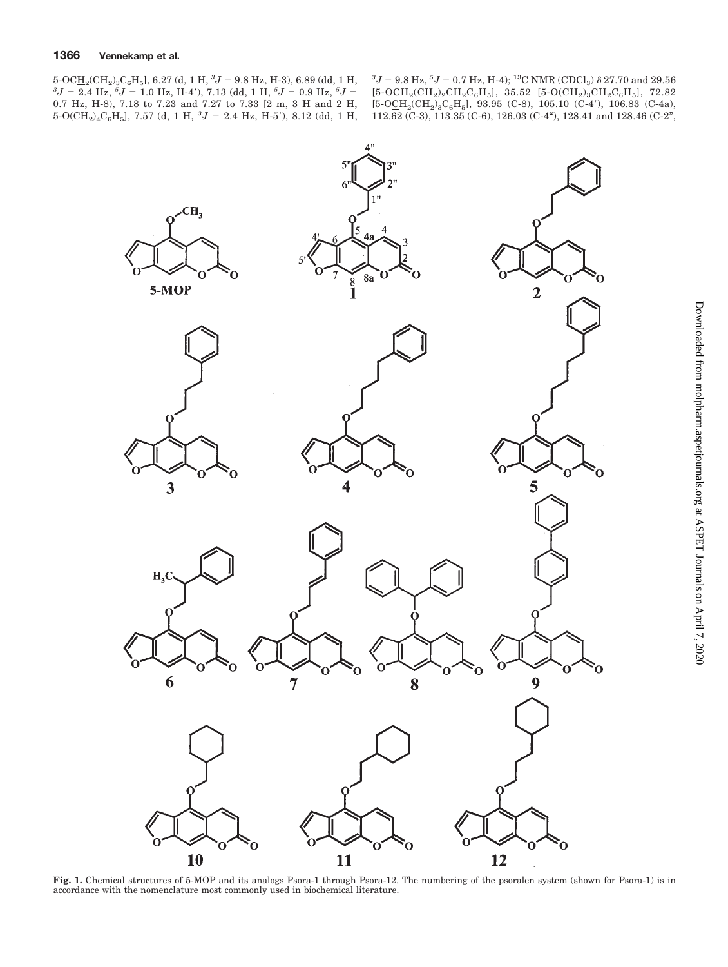${}^{3}J = 2.4$  Hz,  ${}^{5}J = 1.0$  Hz, H-4'), 7.13 (dd, 1 H,  ${}^{5}J = 0.9$  Hz,  ${}^{5}J = 2.4$  Hz,  ${}^{5}J = 1.0$  Hz, H-4'), 7.13 (dd, 1 H,  ${}^{5}J = 0.9$  Hz,  ${}^{5}J = 0.9$ 0.7 Hz, H-8), 7.18 to 7.23 and 7.27 to 7.33 [2 m, 3 H and 2 H,  $5\text{-}O(CH_2)_4C_6H_5$ , 7.57 (d, 1 H,  ${}^3J = 2.4$  Hz, H-5'), 8.12 (dd, 1 H,

 ${}^{3}J = 9.8$  Hz,  ${}^{5}J = 0.7$  Hz, H-4); <sup>13</sup>C NMR (CDCl<sub>3</sub>)  $\delta$  27.70 and 29.56  $[5\text{-}OCH_2(\underline{CH}_2)_2CH_2C_6H_5]$ , 35.52  $[5\text{-}O(CH_2)_3\underline{CH}_2C_6H_5]$ , 72.82  $[5-O\underline{CH}_2(CH_2)_3C_6H_5]$ , 93.95 (C-8), 105.10 (C-4'), 106.83 (C-4a), 112.62 (C-3), 113.35 (C-6), 126.03 (C-4"), 128.41 and 128.46 (C-2",



Fig. 1. Chemical structures of 5-MOP and its analogs Psora-1 through Psora-12. The numbering of the psoralen system (shown for Psora-1) is in accordance with the nomenclature most commonly used in biochemical literature.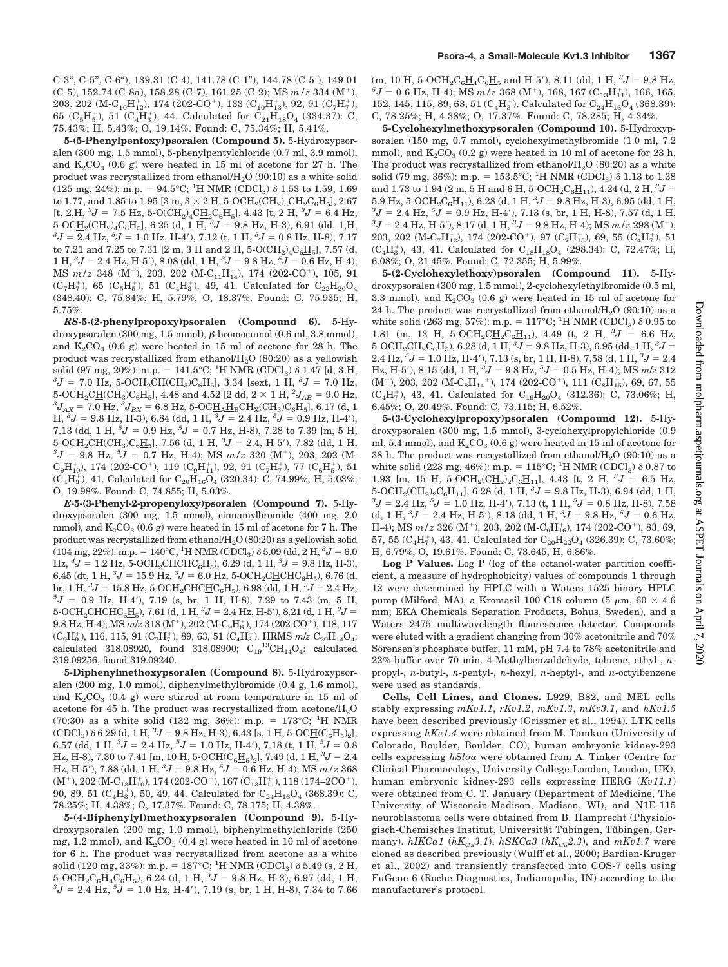**5-(5-Phenylpentoxy)psoralen (Compound 5).** 5-Hydroxypsoralen (300 mg, 1.5 mmol), 5-phenylpentylchloride (0.7 ml, 3.9 mmol), and  $K_2CO_3$  (0.6 g) were heated in 15 ml of acetone for 27 h. The product was recrystallized from ethanol/ $H<sub>2</sub>O (90:10)$  as a white solid (125 mg, 24%): m.p. = 94.5°C; <sup>1</sup>H NMR (CDCl<sub>3</sub>)  $\delta$  1.53 to 1.59, 1.69 to 1.77, and 1.85 to 1.95 [3 m,  $3 \times 2$  H,  $5\text{-}{{\rm OCH}_2}$  $({\rm CH}_2)_3{\rm CH}_2{\rm C}_6{\rm H}_5$ ], 2.67  $\rm [t,\,2,H,\,{}^3J=7.5~Hz,\,5\text{-}O(CH_2)_4C\underline{H}_2C_6H_5],$   $\rm 4.43$   $\rm [t,\,2~H,\,{}^3J=$   $\rm 6.4~Hz,$  $5\text{-}OCH_2(CH_2)_4C_6H_5$ , 6.25 (d, 1 H,  ${}^3J$  = 9.8 Hz, H-3), 6.91 (dd, 1,H,  ${}^{3}J = 2.4$  Hz,  ${}^{5}J = 1.0$  Hz, H-4'), 7.12 (t, 1 H,  ${}^{5}J = 0.8$  Hz, H-8), 7.17 to 7.21 and 7.25 to 7.31 [2 m, 3 H and 2 H,  $5\text{-}O(CH_2)_4C_6H_5$ ], 7.57 (d,  $1 \text{ H}, {}^{3}J = 2.4 \text{ Hz}, \text{H-5}^{\prime}$ , 8.08 (dd,  $1 \text{ H}, {}^{3}J = 9.8 \text{ Hz}, {}^{5}J = 0.6 \text{ Hz}, \text{H-4}$ ); MS  $m/z$  348 (M<sup>+</sup>), 203, 202 (M-C<sub>11</sub>H<sub>14</sub>), 174 (202-CO<sup>+</sup>), 105, 91  $(C_7H_7^+)$ , 65  $(C_5H_5^+)$ , 51  $(C_4H_3^+)$ , 49, 41. Calculated for  $C_{22}H_{20}O_4$ (348.40): C, 75.84%; H, 5.79%, O, 18.37%. Found: C, 75.935; H, 5.75%.

*RS***-5-(2-phenylpropoxy)psoralen (Compound 6).** 5-Hydroxypsoralen  $(300 \text{ mg}, 1.5 \text{ mmol}), \beta$ -bromocumol  $(0.6 \text{ ml}, 3.8 \text{ mmol}),$ and  $K_2CO_3$  (0.6 g) were heated in 15 ml of acetone for 28 h. The product was recrystallized from ethanol/ $H<sub>2</sub>O$  (80:20) as a yellowish solid (97 mg, 20%): m.p. = 141.5°C; <sup>1</sup>H NMR (CDCl<sub>3</sub>)  $\delta$  1.47 [d, 3 H,  $\delta J = 7.0$  H<sub>z</sub>, 5-OCH CH(CH) C H 1, 3.34 [sext, 1, H,  $\delta J = 7.0$  Hz  $J = 7.0$  Hz, 5-OCH<sub>2</sub>CH(C<u>H</u><sub>3</sub>)C<sub>6</sub>H<sub>5</sub>], 3.34 [sext, 1 H, <sup>3</sup> $J = 7.0$  Hz,  $5\text{-OCH}_2\text{CH}(\text{CH}_3)\text{C}_6\text{H}_5$ , 4.48 and 4.52 [2 dd,  $2 \times 1 \text{ H}$ ,  $^2J_{AB} = 9.0 \text{ Hz}$ ,<br>  $J = 7.0 \text{ Hz}$ ,  $^3I = 6.8 \text{ Hz}$ , 5.0CH, H, CH, CH, C, H, L, 6.17 (d, 1  $J_{\rm AX}$  = 7.0 Hz,  $^3J_{\rm BX}$  = 6.8 Hz, 5-OC $\underline{\rm H}_{\rm A}\underline{\rm H}_{\rm B}\rm CH_{\rm X}(CH_3)C_6H_5$ ], 6.17 (d, 1  $H, {}^{3}J = 9.8$  Hz, H-3), 6.84 (dd, 1 H,  ${}^{3}J = 2.4$  Hz,  ${}^{5}J = 0.9$  Hz, H-4'), 7.13 (dd, 1 H,  ${}^5J$  = 0.9 Hz,  ${}^5J$  = 0.7 Hz, H-8), 7.28 to 7.39 [m, 5 H,  $5\text{-OCH}_2\text{CH}(\text{CH}_3)\text{C}_6\text{H}_5$ , 7.56 (d, 1 H,  ${}^3J = 2.4$ , H-5'), 7.82 (dd, 1 H,  ${}^{3}J = 9.8$  Hz,  ${}^{5}J = 0.7$  Hz, H-4); MS  $m/z$  320 (M<sup>+</sup>), 203, 202 (M- $\rm C_9H_{10}^+),$ 174 (202-CO<sup>+</sup>), 119 $\rm (C_9H_{11}^+),$ 92, 91 $\rm (C_7H_7^+),$ 77 $\rm (C_6H_5^+),$ 51  $(C_4H_3^+),$  41. Calculated for  $C_{20}H_{16}O_4$  (320.34): C, 74.99%; H, 5.03%; O, 19.98%. Found: C, 74.855; H, 5.03%.

*E***-5-(3-Phenyl-2-propenyloxy)psoralen (Compound 7).** 5-Hydroxypsoralen (300 mg, 1.5 mmol), cinnamylbromide (400 mg, 2.0 mmol), and  $K_2CO_3 (0.6 g)$  were heated in 15 ml of acetone for 7 h. The product was recrystallized from ethanol/ $H<sub>2</sub>O(80:20)$  as a yellowish solid (104 mg, 22%): m.p. = 140°C; <sup>1</sup>H NMR (CDCl<sub>3</sub>)  $\delta$  5.09 (dd, 2 H, <sup>3</sup>J = 6.0  $\text{Hz}$ ,  ${}^4J = 1.2 \text{ Hz}$ , 5-OC $\underline{\text{H}}_2$ CHCHC<sub>6</sub>H<sub>5</sub>), 6.29 (d, 1 H,  ${}^3J = 9.8 \text{ Hz}$ , H-3), 6.45 (dt, 1 H,  ${}^{3}J = 15.9$  Hz,  ${}^{3}J = 6.0$  Hz, 5-OCH<sub>2</sub>CHCHC<sub>6</sub>H<sub>5</sub>), 6.76 (d, br, 1 H,  ${}^{3}J = 15.8$  Hz, 5-OCH<sub>2</sub>CHC<u>H</u>C<sub>6</sub>H<sub>5</sub>), 6.98 (dd, 1 H,  ${}^{3}J = 2.4$  Hz,  ${}^{5}J = 0.9$  Hz, H-4'), 7.19 (s, br, 1 H, H-8), 7.29 to 7.43 (m, 5 H,  $5$ -OCH<sub>2</sub>CHCHC<sub>6</sub>H<sub>5</sub></sub>, 7.61 (d, 1 H,  ${}^{3}J = 2.4$  Hz, H-5'), 8.21 (d, 1 H,  ${}^{3}J =$  $9.8~\mathrm{Hz}, \mathrm{H}\text{-}4$  ); MS  $m/z$   $318~(\mathrm{M}^+), \, 202~(\mathrm{M}\text{-}\mathrm{C}_9\mathrm{H}_8^+), \, 174~(202\text{-}\mathrm{CO}^+), \, 118, \, 117$  $(C_9H_9^+), 116, 115, 91 (C_7H_7^+), 89, 63, 51 (C_4H_3^+).$  HRMS  $m/z C_{20}H_{14}O_4$ : calculated 318.08920, found 318.08900;  $C_{19}^{13}CH_{14}O_4$ : calculated 319.09256, found 319.09240.

**5-Diphenylmethoxypsoralen (Compound 8).** 5-Hydroxypsoralen (200 mg, 1.0 mmol), diphenylmethylbromide (0.4 g, 1.6 mmol), and  $K_2CO_3$  (0.4 g) were stirred at room temperature in 15 ml of acetone for 45 h. The product was recrystallized from acetone/ $H_2O$ (70:30) as a white solid (132 mg, 36%): m.p. =  $173^{\circ}$ C; <sup>1</sup>H NMR  $(CDCl_3$ )  $\delta$  6.29 (d, 1 H,  ${}^3J$  = 9.8 Hz, H-3), 6.43 [s, 1 H, 5-OC<u>H</u>(C<sub>6</sub>H<sub>5</sub>)<sub>2</sub>], 6.57 (dd, 1 H,  ${}^{3}J = 2.4$  Hz,  ${}^{5}J = 1.0$  Hz, H-4'), 7.18 (t, 1 H,  ${}^{5}J = 0.8$ Hz, H-8), 7.30 to 7.41 [m, 10 H, 5-OCH( $\text{C}_6\text{H}_5$ )<sub>2</sub>], 7.49 (d, 1 H, <sup>3</sup> $J = 2.4$ Hz, H-5'), 7.88 (dd, 1 H,  ${}^{3}J = 9.8$  Hz,  ${}^{5}J = 0.6$  Hz, H-4); MS  $m/z$  368  $(M^+), 202\, (M\text{-}C_{13}H_{10}^+), 174\, (202\text{-}CO^+), 167\, (C_{13}H_{11}^+), 118\, (174\text{-}2CO^+),$ 90, 89, 51 $(\rm{C_4H_3^+}),$  50, 49, 44. Calculated for  $\rm{C_{24}H_{16}O_4}$  (368.39): C, 78.25%; H, 4.38%; O, 17.37%. Found: C, 78.175; H, 4.38%.

**5-(4-Biphenylyl)methoxypsoralen (Compound 9).** 5-Hydroxypsoralen (200 mg, 1.0 mmol), biphenylmethylchloride (250 mg, 1.2 mmol), and  $K_2CO_3$  (0.4 g) were heated in 10 ml of acetone for 6 h. The product was recrystallized from acetone as a white solid (120 mg, 33%): m.p. =  $187^{\circ}$ C; <sup>1</sup>H NMR (CDCl<sub>3</sub>)  $\delta$  5.49 (s, 2 H,  $5\text{-}OCH_2C_6H_4C_6H_5$ ), 6.24 (d, 1 H,  ${}^3J$  = 9.8 Hz, H-3), 6.97 (dd, 1 H,  ${}^{3}J = 2.4$  Hz,  ${}^{5}J = 1.0$  Hz, H-4'), 7.19 (s, br, 1 H, H-8), 7.34 to 7.66

 $\rm (m, \, 10 \ H, \, 5\text{-}OCH_2C_6\underline{H}_4C_6\underline{H}_5$  and H-5'), 8.11 (dd, 1 H,  $^3J$  = 9.8 Hz,  ${}^{5}J = 0.6$  Hz, H-4); MS  $m/z$  368 (M<sup>+</sup>), 168, 167 (C<sub>13</sub>H<sub>11</sub>), 166, 165, 152, 145, 115, 89, 63, 51 $(C_4H_3^+)$ . Calculated for  $C_{24}H_{16}O_4$  (368.39): C, 78.25%; H, 4.38%; O, 17.37%. Found: C, 78.285; H, 4.34%.

**5-Cyclohexylmethoxypsoralen (Compound 10).** 5-Hydroxypsoralen (150 mg, 0.7 mmol), cyclohexylmethylbromide (1.0 ml, 7.2 mmol), and  $K_2CO_3$  (0.2 g) were heated in 10 ml of acetone for 23 h. The product was recrystallized from ethanol/ $H<sub>2</sub>O$  (80:20) as a white solid (79 mg, 36%): m.p. =  $153.5^{\circ}$ C; <sup>1</sup>H NMR (CDCl<sub>3</sub>)  $\delta$  1.13 to 1.38 and 1.73 to 1.94 (2 m, 5 H and 6 H, 5-OCH<sub>2</sub>C<sub>6</sub>H<sub>11</sub>), 4.24 (d, 2 H,  ${}^{3}J$  = 5.9 Hz, 5-OC $\underline{H}_2C_6H_{11}$ ), 6.28 (d, 1 H,  ${}^3J$  = 9.8 Hz, H-3), 6.95 (dd, 1 H,  ${}^{3}J = 2.4$  Hz,  ${}^{5}J = 0.9$  Hz, H-4'), 7.13 (s, br, 1 H, H-8), 7.57 (d, 1 H,  ${}^{3}J = 2.4$  Hz, H-5'), 8.17 (d, 1 H,  ${}^{3}J = 9.8$  Hz, H-4); MS  $m/z$  298 (M<sup>+</sup>), 203, 202 $(\text{M-C}_7\text{H}_{12}^{\text{+}})$ , 174 $(202\text{-}\text{CO}^+)$ , 97 $(\text{C}_7\text{H}_{13}^{\text{+}})$ , 69, 55 $(\text{C}_4\text{H}_7^{\text{+}})$ , 51  $(C_4H_3^+), 43, 41.$  Calculated for  $C_{18}H_{18}O_4$  (298.34): C, 72.47%; H, 6.08%; O, 21.45%. Found: C, 72.355; H, 5.99%.

**5-(2-Cyclohexylethoxy)psoralen (Compound 11).** 5-Hydroxypsoralen (300 mg, 1.5 mmol), 2-cyclohexylethylbromide (0.5 ml, 3.3 mmol), and  $K_2CO_3$  (0.6 g) were heated in 15 ml of acetone for 24 h. The product was recrystallized from ethanol/ $H<sub>2</sub>O$  (90:10) as a white solid (263 mg, 57%): m.p. =  $117^{\circ}$ C; <sup>1</sup>H NMR (CDCl<sub>3</sub>)  $\delta$  0.95 to 1.81 (m, 13 H, 5-OCH<sub>2</sub>CH<sub>2</sub>C<sub>6</sub>H<sub>11</sub>), 4.49 (t, 2 H, <sup>3</sup>J = 6.6 Hz,  $5\text{-} \text{O}\text{C}\underline{\text{H}}_2\text{C}\text{H}_2\text{C}_6\text{H}_5$ ), 6.28 (d, 1 H,  $^3J$  = 9.8 Hz, H-3), 6.95 (dd, 1 H,  $^3J$  =  $2.4$  Hz,  $5J = 1.0$  Hz, H-4'),  $7.13$  (s, br,  $1$  H, H-8),  $7.58$  (d,  $1$  H,  $3J = 2.4$ Hz, H-5'), 8.15 (dd, 1 H,  ${}^{3}J = 9.8$  Hz,  ${}^{5}J = 0.5$  Hz, H-4); MS  $m/z$  312  $(\mathbf{M}^+),$  203, 202 $(\mathbf{M}\text{-}\mathbf{C_8}\mathbf{H_{14}}^+),$ 174 $(202\text{-}\mathbf{C}\mathbf{O}^+),$ 111 $(\mathbf{C_8}\mathbf{H_{15}^+}),$ 69, 67, 55  $(C_4H_7^+)$ , 43, 41. Calculated for  $C_{19}H_{20}O_4$  (312.36): C, 73.06%; H, 6.45%; O, 20.49%. Found: C, 73.115; H, 6.52%.

**5-(3-Cyclohexylpropoxy)psoralen (Compound 12).** 5-Hydroxypsoralen (300 mg, 1.5 mmol), 3-cyclohexylpropylchloride (0.9 ml, 5.4 mmol), and  $K_2CO_3(0.6 g)$  were heated in 15 ml of acetone for 38 h. The product was recrystallized from ethanol/ $H<sub>2</sub>O$  (90:10) as a white solid (223 mg, 46%): m.p. =  $115^{\circ}$ C; <sup>1</sup>H NMR (CDCl<sub>3</sub>)  $\delta$  0.87 to 1.93 [m, 15 H, 5-OCH<sub>2</sub>(CH<sub>2</sub>)<sub>2</sub>C<sub>6</sub>H<sub>11</sub>], 4.43 [t, 2 H, <sup>3</sup>J = 6.5 Hz,  $5\text{-}OCH_2(CH_2)_2C_6H_{11}$ , 6.28 (d, 1 H,  ${}^3J = 9.8$  Hz, H-3), 6.94 (dd, 1 H,  ${}^{3}J = 2.4$  Hz,  ${}^{5}J = 1.0$  Hz, H-4'), 7.13 (t, 1 H,  ${}^{5}J = 0.8$  Hz, H-8), 7.58 (d, 1 H,  ${}^{3}J = 2.4$  Hz, H-5'), 8.18 (dd, 1 H,  ${}^{3}J = 9.8$  Hz,  ${}^{5}J = 0.6$  Hz, H-4); MS  $m/z$  326 (M<sup>+</sup>), 203, 202 (M-C<sub>9</sub>H<sub>16</sub>), 174 (202-CO<sup>+</sup>), 83, 69, 57, 55  $(C_4H_7^+)$ , 43, 41. Calculated for  $C_{20}H_{22}O_4$  (326.39): C, 73.60%; H, 6.79%; O, 19.61%. Found: C, 73.645; H, 6.86%.

**Log P Values.** Log P (log of the octanol-water partition coefficient, a measure of hydrophobicity) values of compounds 1 through 12 were determined by HPLC with a Waters 1525 binary HPLC pump (Milford, MA), a Kromasil 100 C18 column (5  $\mu$ m, 60  $\times$  4.6 mm; EKA Chemicals Separation Products, Bohus, Sweden), and a Waters 2475 multiwavelength fluorescence detector. Compounds were eluted with a gradient changing from 30% acetonitrile and 70% Sörensen's phosphate buffer, 11 mM, pH 7.4 to 78% acetonitrile and 22% buffer over 70 min. 4-Methylbenzaldehyde, toluene, ethyl-, *n*propyl-, *n*-butyl-, *n*-pentyl-, *n*-hexyl, *n*-heptyl-, and *n*-octylbenzene were used as standards.

**Cells, Cell Lines, and Clones.** L929, B82, and MEL cells stably expressing *mKv1.1*, *rKv1.2*, *mKv1.3*, *mKv3.1*, and *hKv1.5* have been described previously (Grissmer et al., 1994). LTK cells expressing *hKv1.4* were obtained from M. Tamkun (University of Colorado, Boulder, Boulder, CO), human embryonic kidney-293 cells expressing *hSlo* were obtained from A. Tinker (Centre for Clinical Pharmacology, University College London, London, UK), human embryonic kidney-293 cells expressing HERG (*Kv11.1*) were obtained from C. T. January (Department of Medicine, The University of Wisconsin-Madison, Madison, WI), and N1E-115 neuroblastoma cells were obtained from B. Hamprecht (Physiologisch-Chemisches Institut, Universität Tübingen, Tübingen, Germany).  $hIKCa1$  ( $hK_{Cs}3.1$ ),  $hSKCa3$  ( $hK_{Cs}2.3$ ), and  $mKv1.7$  were cloned as described previously (Wulff et al., 2000; Bardien-Kruger et al., 2002) and transiently transfected into COS-7 cells using FuGene 6 (Roche Diagnostics, Indianapolis, IN) according to the manufacturer's protocol.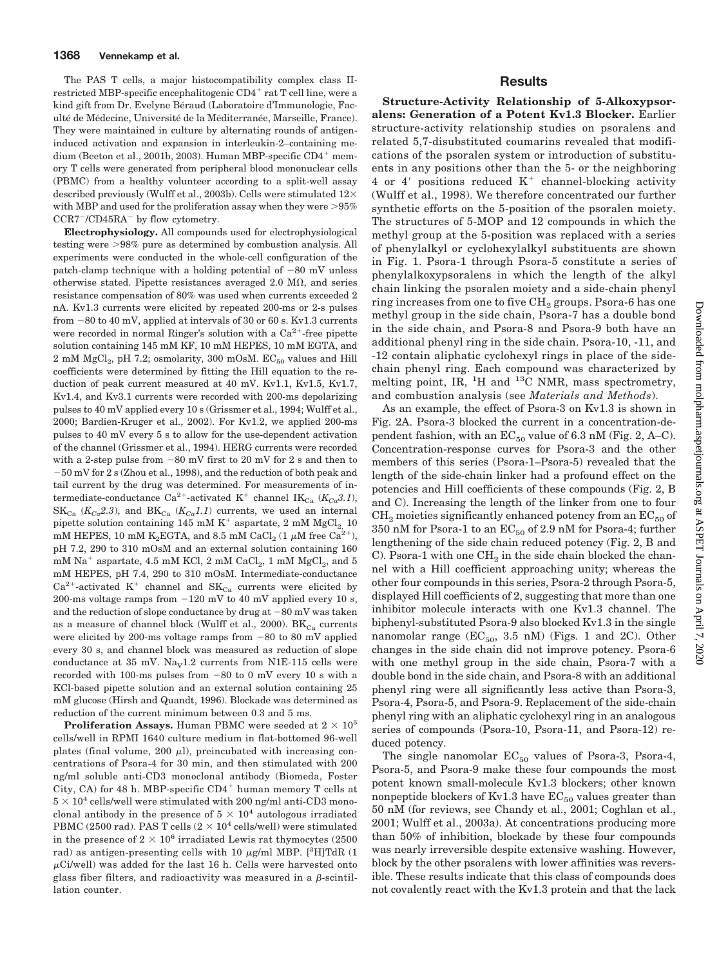The PAS T cells, a major histocompatibility complex class IIrestricted MBP-specific encephalitogenic  $CD4^+$  rat T cell line, were a kind gift from Dr. Evelyne Béraud (Laboratoire d'Immunologie, Faculté de Médecine, Université de la Méditerranée, Marseille, France). They were maintained in culture by alternating rounds of antigeninduced activation and expansion in interleukin-2–containing medium (Beeton et al., 2001b, 2003). Human MBP-specific  $CD4^+$  memory T cells were generated from peripheral blood mononuclear cells (PBMC) from a healthy volunteer according to a split-well assay described previously (Wulff et al., 2003b). Cells were stimulated  $12\times$ with MBP and used for the proliferation assay when they were  $>95\%$  $CCR7^-/CD45RA^-$  by flow cytometry.

**Electrophysiology.** All compounds used for electrophysiological testing were 98% pure as determined by combustion analysis. All experiments were conducted in the whole-cell configuration of the patch-clamp technique with a holding potential of  $-80$  mV unless otherwise stated. Pipette resistances averaged 2.0  $\text{M}\Omega$ , and series resistance compensation of 80% was used when currents exceeded 2 nA. Kv1.3 currents were elicited by repeated 200-ms or 2-s pulses from  $-80$  to  $40$  mV, applied at intervals of  $30$  or  $60$  s. Kv1.3 currents were recorded in normal Ringer's solution with a  $Ca^{2+}$ -free pipette solution containing 145 mM KF, 10 mM HEPES, 10 mM EGTA, and 2 mM  $MgCl<sub>2</sub>$ , pH 7.2; osmolarity, 300 mOsM.  $EC<sub>50</sub>$  values and Hill coefficients were determined by fitting the Hill equation to the reduction of peak current measured at 40 mV. Kv1.1, Kv1.5, Kv1.7, Kv1.4, and Kv3.1 currents were recorded with 200-ms depolarizing pulses to 40 mV applied every 10 s (Grissmer et al., 1994; Wulff et al., 2000; Bardien-Kruger et al., 2002). For Kv1.2, we applied 200-ms pulses to 40 mV every 5 s to allow for the use-dependent activation of the channel (Grissmer et al., 1994). HERG currents were recorded with a 2-step pulse from  $-80$  mV first to 20 mV for 2 s and then to 50 mV for 2 s (Zhou et al., 1998), and the reduction of both peak and tail current by the drug was determined. For measurements of intermediate-conductance Ca<sup>2+</sup>-activated K<sup>+</sup> channel IK<sub>Ca</sub> ( $K_{Ca}$ 3.1),  $SK_{Ca}$  ( $K_{Ca}$ 2.3), and  $BK_{Ca}$  ( $K_{Ca}$ 1.1) currents, we used an internal pipette solution containing 145 mM  $K^+$  aspartate, 2 mM  $MgCl_2$  10 mM HEPES, 10 mM K<sub>2</sub>EGTA, and 8.5 mM CaCl<sub>2</sub> (1  $\mu$ M free Ca<sup>2+</sup>), pH 7.2, 290 to 310 mOsM and an external solution containing 160 mM Na<sup>+</sup> aspartate, 4.5 mM KCl, 2 mM CaCl<sub>2</sub>, 1 mM MgCl<sub>2</sub>, and 5 mM HEPES, pH 7.4, 290 to 310 mOsM. Intermediate-conductance  $Ca^{2+}$ -activated K<sup>+</sup> channel and SK<sub>Ca</sub> currents were elicited by 200-ms voltage ramps from  $-120$  mV to 40 mV applied every 10 s, and the reduction of slope conductance by drug at  $-80$  mV was taken as a measure of channel block (Wulff et al., 2000).  $BK_{Cs}$  currents were elicited by 200-ms voltage ramps from  $-80$  to 80 mV applied every 30 s, and channel block was measured as reduction of slope conductance at 35 mV.  $\text{Na}_{\text{V}}1.2$  currents from N1E-115 cells were recorded with 100-ms pulses from  $-80$  to 0 mV every 10 s with a KCl-based pipette solution and an external solution containing 25 mM glucose (Hirsh and Quandt, 1996). Blockade was determined as reduction of the current minimum between 0.3 and 5 ms.

**Proliferation Assays.** Human PBMC were seeded at  $2 \times 10^5$ cells/well in RPMI 1640 culture medium in flat-bottomed 96-well plates (final volume, 200  $\mu$ l), preincubated with increasing concentrations of Psora-4 for 30 min, and then stimulated with 200 ng/ml soluble anti-CD3 monoclonal antibody (Biomeda, Foster City, CA) for 48 h. MBP-specific  $CD4^+$  human memory T cells at  $5 \times 10^4$  cells/well were stimulated with 200 ng/ml anti-CD3 monoclonal antibody in the presence of  $5 \times 10^4$  autologous irradiated PBMC (2500 rad). PAS T cells  $(2 \times 10^4 \text{ cells/well})$  were stimulated in the presence of  $2 \times 10^6$  irradiated Lewis rat thymocytes (2500) rad) as antigen-presenting cells with 10  $\mu$ g/ml MBP. [<sup>3</sup>H]TdR (1  $\mu$ Ci/well) was added for the last 16 h. Cells were harvested onto glass fiber filters, and radioactivity was measured in a  $\beta$ -scintillation counter.

# **Results**

**Structure-Activity Relationship of 5-Alkoxypsoralens: Generation of a Potent Kv1.3 Blocker.** Earlier structure-activity relationship studies on psoralens and related 5,7-disubstituted coumarins revealed that modifications of the psoralen system or introduction of substituents in any positions other than the 5- or the neighboring 4 or 4' positions reduced  $K^+$  channel-blocking activity (Wulff et al., 1998). We therefore concentrated our further synthetic efforts on the 5-position of the psoralen moiety. The structures of 5-MOP and 12 compounds in which the methyl group at the 5-position was replaced with a series of phenylalkyl or cyclohexylalkyl substituents are shown in Fig. 1. Psora-1 through Psora-5 constitute a series of phenylalkoxypsoralens in which the length of the alkyl chain linking the psoralen moiety and a side-chain phenyl ring increases from one to five CH<sub>2</sub> groups. Psora-6 has one methyl group in the side chain, Psora-7 has a double bond in the side chain, and Psora-8 and Psora-9 both have an additional phenyl ring in the side chain. Psora-10, -11, and -12 contain aliphatic cyclohexyl rings in place of the sidechain phenyl ring. Each compound was characterized by melting point, IR, <sup>1</sup>H and <sup>13</sup>C NMR, mass spectrometry, and combustion analysis (see *Materials and Methods*).

As an example, the effect of Psora-3 on Kv1.3 is shown in Fig. 2A. Psora-3 blocked the current in a concentration-dependent fashion, with an  $EC_{50}$  value of 6.3 nM (Fig. 2, A–C). Concentration-response curves for Psora-3 and the other members of this series (Psora-1–Psora-5) revealed that the length of the side-chain linker had a profound effect on the potencies and Hill coefficients of these compounds (Fig. 2, B and C). Increasing the length of the linker from one to four  $CH<sub>2</sub>$  moieties significantly enhanced potency from an  $EC<sub>50</sub>$  of 350 nM for Psora-1 to an  $EC_{50}$  of 2.9 nM for Psora-4; further lengthening of the side chain reduced potency (Fig. 2, B and C). Psora-1 with one  $CH_2$  in the side chain blocked the channel with a Hill coefficient approaching unity; whereas the other four compounds in this series, Psora-2 through Psora-5, displayed Hill coefficients of 2, suggesting that more than one inhibitor molecule interacts with one Kv1.3 channel. The biphenyl-substituted Psora-9 also blocked Kv1.3 in the single nanomolar range ( $EC_{50}$ , 3.5 nM) (Figs. 1 and 2C). Other changes in the side chain did not improve potency. Psora-6 with one methyl group in the side chain, Psora-7 with a double bond in the side chain, and Psora-8 with an additional phenyl ring were all significantly less active than Psora-3, Psora-4, Psora-5, and Psora-9. Replacement of the side-chain phenyl ring with an aliphatic cyclohexyl ring in an analogous series of compounds (Psora-10, Psora-11, and Psora-12) reduced potency.

The single nanomolar  $EC_{50}$  values of Psora-3, Psora-4, Psora-5, and Psora-9 make these four compounds the most potent known small-molecule Kv1.3 blockers; other known nonpeptide blockers of Kv1.3 have  $EC_{50}$  values greater than 50 nM (for reviews, see Chandy et al., 2001; Coghlan et al., 2001; Wulff et al., 2003a). At concentrations producing more than 50% of inhibition, blockade by these four compounds was nearly irreversible despite extensive washing. However, block by the other psoralens with lower affinities was reversible. These results indicate that this class of compounds does not covalently react with the Kv1.3 protein and that the lack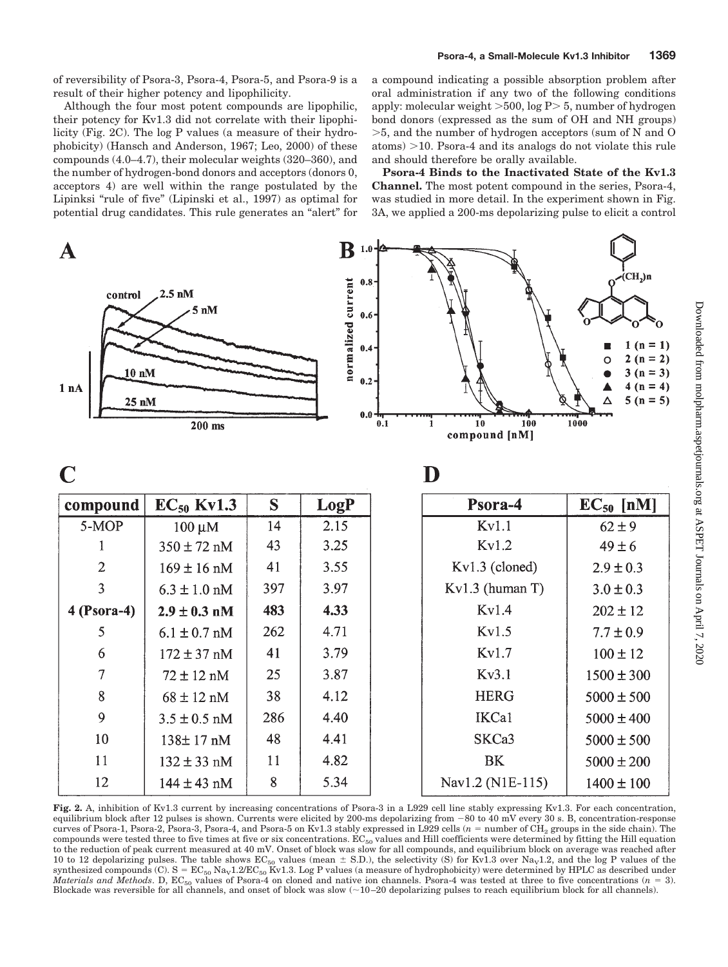of reversibility of Psora-3, Psora-4, Psora-5, and Psora-9 is a result of their higher potency and lipophilicity.

Although the four most potent compounds are lipophilic, their potency for Kv1.3 did not correlate with their lipophilicity (Fig. 2C). The log P values (a measure of their hydrophobicity) (Hansch and Anderson, 1967; Leo, 2000) of these compounds (4.0–4.7), their molecular weights (320–360), and the number of hydrogen-bond donors and acceptors (donors 0, acceptors 4) are well within the range postulated by the Lipinksi "rule of five" (Lipinski et al., 1997) as optimal for potential drug candidates. This rule generates an "alert" for a compound indicating a possible absorption problem after oral administration if any two of the following conditions apply: molecular weight  $>500$ , log P $> 5$ , number of hydrogen bond donors (expressed as the sum of OH and NH groups) 5, and the number of hydrogen acceptors (sum of N and O  $\text{atoms}$   $>$  10. Psora-4 and its analogs do not violate this rule and should therefore be orally available.

**Psora-4 Binds to the Inactivated State of the Kv1.3 Channel.** The most potent compound in the series, Psora-4, was studied in more detail. In the experiment shown in Fig. 3A, we applied a 200-ms depolarizing pulse to elicit a control

| $\bold{A}$                                    |                                        |     | ${\bf B}$                                                  | $1.0 - 2$          |                                 |                                                                                                             |
|-----------------------------------------------|----------------------------------------|-----|------------------------------------------------------------|--------------------|---------------------------------|-------------------------------------------------------------------------------------------------------------|
| control<br>$10 \text{ nM}$<br>1 nA<br>$25$ nM | $2.5$ nM<br>$5 \text{ nM}$<br>$200$ ms |     | normalized current<br>0.8<br>$0.6 -$<br>$0.4 -$<br>$0.2 -$ | $0.0\frac{1}{0.1}$ | 100<br>10<br>1<br>compound [nM] | $\chi$ (CH <sub>2</sub> )n<br>$1(n = 1)$<br>$2(n = 2)$<br>O<br>$3(n=3)$<br>$4(n = 4)$<br>$5(n = 5)$<br>1000 |
| $\mathbf C$<br>D                              |                                        |     |                                                            |                    |                                 |                                                                                                             |
| compound                                      | $EC_{50}$ Kv1.3                        | S   | LogP                                                       |                    | Psora-4                         | $EC_{50}$ [nM]                                                                                              |
| 5-MOP                                         | $100 \mu M$                            | 14  | 2.15                                                       |                    | Kv1.1                           | $62 \pm 9$                                                                                                  |
| 1                                             | $350 \pm 72$ nM                        | 43  | 3.25                                                       |                    | Kv1.2                           | $49 \pm 6$                                                                                                  |
| $\overline{2}$                                | $169 \pm 16$ nM                        | 41  | 3.55                                                       |                    | Kv1.3 (cloned)                  | $2.9 \pm 0.3$                                                                                               |
| 3                                             | $6.3 \pm 1.0$ nM                       | 397 | 3.97                                                       |                    | Kv1.3 (human T)                 | $3.0 \pm 0.3$                                                                                               |
| $4$ (Psora-4)                                 | $2.9 \pm 0.3$ nM                       | 483 | 4.33                                                       |                    | Kv1.4                           | $202 \pm 12$                                                                                                |
| 5                                             | $6.1 \pm 0.7$ nM                       | 262 | 4.71                                                       |                    | Kv1.5                           | $7.7 \pm 0.9$                                                                                               |
| 6                                             | $172 \pm 37$ nM                        | 41  | 3.79                                                       |                    | Kv1.7                           | $100 \pm 12$                                                                                                |
| $\overline{7}$                                | $72 \pm 12$ nM                         | 25  | 3.87                                                       |                    | Kv3.1                           | $1500 \pm 300$                                                                                              |
| $\bf 8$                                       | $68 \pm 12$ nM                         | 38  | 4.12                                                       |                    | <b>HERG</b>                     | $5000 \pm 500$                                                                                              |
| 9                                             | $3.5 \pm 0.5$ nM                       | 286 | 4.40                                                       |                    | IKCa1                           | $5000 \pm 400$                                                                                              |
| 10                                            | 138±17 nM                              | 48  | 4.41                                                       |                    | SKCa3                           | $5000 \pm 500$                                                                                              |
| 11                                            | $132 \pm 33$ nM                        | 11  | 4.82                                                       |                    | <b>BK</b>                       | $5000 \pm 200$                                                                                              |
| 12                                            | $144 \pm 43$ nM                        | 8   | 5.34                                                       |                    | Nav1.2 (N1E-115)                | $1400 \pm 100$                                                                                              |

**Fig. 2.** A, inhibition of Kv1.3 current by increasing concentrations of Psora-3 in a L929 cell line stably expressing Kv1.3. For each concentration, equilibrium block after 12 pulses is shown. Currents were elicited by 200-ms depolarizing from  $-80$  to  $40$  mV every 30 s. B, concentration-response curves of Psora-1, Psora-2, Psora-3, Psora-4, and Psora-5 on Kv1.3 stably expressed in L929 cells  $(n = number of CH<sub>2</sub> groups in the side chain)$ . The compounds were tested three to five times at five or six concentrations.  $EC_{50}$  values and Hill coefficients were determined by fitting the Hill equation to the reduction of peak current measured at 40 mV. Onset of block was slow for all compounds, and equilibrium block on average was reached after 10 to 12 depolarizing pulses. The table shows  $EC_{50}$  values (mean  $\pm$  S.D.), the selectivity (S) for Kv1.3 over Na<sub>v</sub>1.2, and the log P values of the synthesized compounds (C).  $S = EC_{50}$  Na<sub>v</sub>1.2/EC<sub>50</sub> Kv1.3. Log P values (a measure of hydrophobicity) were determined by HPLC as described under *Materials and Methods*. D,  $EC_{50}$  values of Psora-4 on cloned and native ion channels. Psora-4 was tested at three to five concentrations ( $n = 3$ ). Blockade was reversible for all channels, and onset of block was slow (~10-20 depolarizing pulses to reach equilibrium block for all channels).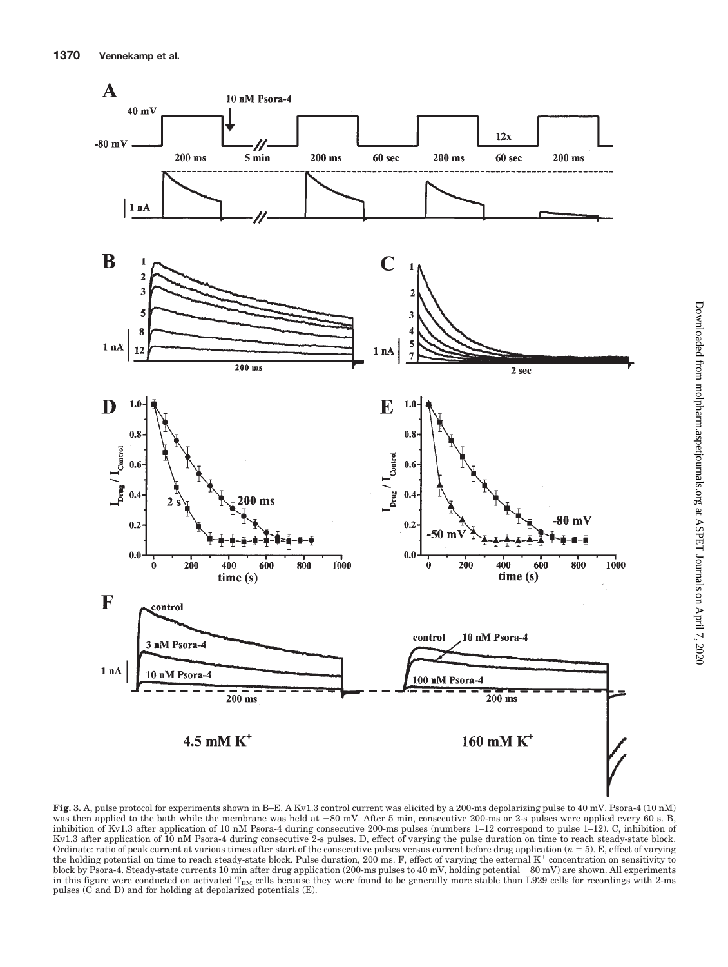

**Fig. 3.** A, pulse protocol for experiments shown in B–E. A Kv1.3 control current was elicited by a 200-ms depolarizing pulse to 40 mV. Psora-4 (10 nM) was then applied to the bath while the membrane was held at -80 mV. After 5 min, consecutive 200-ms or 2-s pulses were applied every 60 s. B, inhibition of Kv1.3 after application of 10 nM Psora-4 during consecutive 200-ms pulses (numbers 1–12 correspond to pulse 1–12). C, inhibition of Kv1.3 after application of 10 nM Psora-4 during consecutive 2-s pulses. D, effect of varying the pulse duration on time to reach steady-state block. Ordinate: ratio of peak current at various times after start of the consecutive pulses versus current before drug application  $(n = 5)$ . E, effect of varying the holding potential on time to reach steady-state block. Pulse duration, 200 ms. F, effect of varying the external K<sup>+</sup> concentration on sensitivity to block by Psora-4. Steady-state currents 10 min after drug application (200-ms pulses to 40 mV, holding potential -80 mV) are shown. All experiments in this figure were conducted on activated  $T_{EM}$  cells because they were found to be generally more stable than L929 cells for recordings with 2-ms pulses (C and D) and for holding at depolarized potentials (E).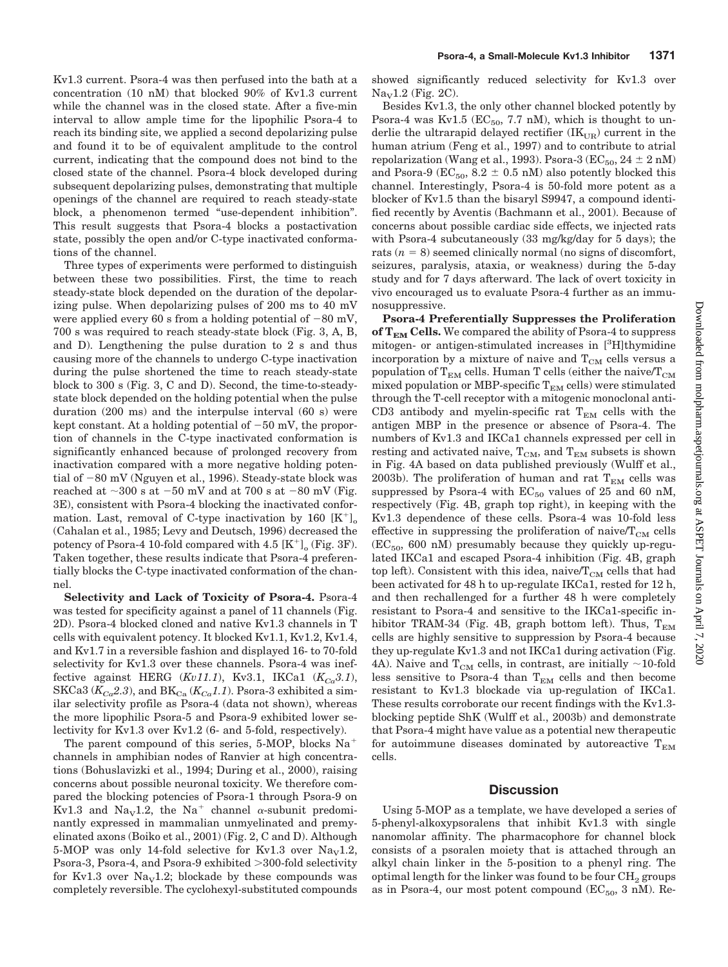Kv1.3 current. Psora-4 was then perfused into the bath at a concentration (10 nM) that blocked 90% of Kv1.3 current while the channel was in the closed state. After a five-min interval to allow ample time for the lipophilic Psora-4 to reach its binding site, we applied a second depolarizing pulse and found it to be of equivalent amplitude to the control current, indicating that the compound does not bind to the closed state of the channel. Psora-4 block developed during subsequent depolarizing pulses, demonstrating that multiple openings of the channel are required to reach steady-state block, a phenomenon termed "use-dependent inhibition". This result suggests that Psora-4 blocks a postactivation state, possibly the open and/or C-type inactivated conformations of the channel.

Three types of experiments were performed to distinguish between these two possibilities. First, the time to reach steady-state block depended on the duration of the depolarizing pulse. When depolarizing pulses of 200 ms to 40 mV were applied every 60 s from a holding potential of  $-80$  mV, 700 s was required to reach steady-state block (Fig. 3, A, B, and D). Lengthening the pulse duration to 2 s and thus causing more of the channels to undergo C-type inactivation during the pulse shortened the time to reach steady-state block to 300 s (Fig. 3, C and D). Second, the time-to-steadystate block depended on the holding potential when the pulse duration (200 ms) and the interpulse interval (60 s) were kept constant. At a holding potential of  $-50$  mV, the proportion of channels in the C-type inactivated conformation is significantly enhanced because of prolonged recovery from inactivation compared with a more negative holding potential of  $-80$  mV (Nguyen et al., 1996). Steady-state block was reached at  ${\sim}300~\text{s}$  at  $-50~\text{mV}$  and at  $700~\text{s}$  at  $-80~\text{mV}$  (Fig. 3E), consistent with Psora-4 blocking the inactivated conformation. Last, removal of C-type inactivation by 160  $[K^+]$ (Cahalan et al., 1985; Levy and Deutsch, 1996) decreased the potency of Psora-4 10-fold compared with 4.5  $[K^+]_o$  (Fig. 3F). Taken together, these results indicate that Psora-4 preferentially blocks the C-type inactivated conformation of the channel.

**Selectivity and Lack of Toxicity of Psora-4.** Psora-4 was tested for specificity against a panel of 11 channels (Fig. 2D). Psora-4 blocked cloned and native Kv1.3 channels in T cells with equivalent potency. It blocked Kv1.1, Kv1.2, Kv1.4, and Kv1.7 in a reversible fashion and displayed 16- to 70-fold selectivity for Kv1.3 over these channels. Psora-4 was ineffective against HERG  $(Ku11.1)$ , Kv3.1, IKCa1  $(K<sub>Ca</sub>3.1)$ , SKCa3 ( $K_{Ca}$ 2.3), and BK<sub>Ca</sub> ( $K_{Ca}$ 1.1). Psora-3 exhibited a similar selectivity profile as Psora-4 (data not shown), whereas the more lipophilic Psora-5 and Psora-9 exhibited lower selectivity for Kv1.3 over Kv1.2 (6- and 5-fold, respectively).

The parent compound of this series, 5-MOP, blocks Na channels in amphibian nodes of Ranvier at high concentrations (Bohuslavizki et al., 1994; During et al., 2000), raising concerns about possible neuronal toxicity. We therefore compared the blocking potencies of Psora-1 through Psora-9 on Kv1.3 and Na<sub>v</sub>1.2, the Na<sup>+</sup> channel  $\alpha$ -subunit predominantly expressed in mammalian unmyelinated and premyelinated axons (Boiko et al., 2001) (Fig. 2, C and D). Although 5-MOP was only 14-fold selective for Kv1.3 over  $\text{Na}_{\text{V}}1.2$ , Psora-3, Psora-4, and Psora-9 exhibited >300-fold selectivity for Kv1.3 over  $\text{Na}_{\text{V}}1.2$ ; blockade by these compounds was completely reversible. The cyclohexyl-substituted compounds

showed significantly reduced selectivity for Kv1.3 over  $Na<sub>Y</sub>1.2$  (Fig. 2C).

Besides Kv1.3, the only other channel blocked potently by Psora-4 was Kv1.5 ( $EC_{50}$ , 7.7 nM), which is thought to underlie the ultrarapid delayed rectifier  $(IK<sub>UB</sub>)$  current in the human atrium (Feng et al., 1997) and to contribute to atrial repolarization (Wang et al., 1993). Psora-3 ( $EC_{50}$ , 24  $\pm$  2 nM) and Psora-9 ( $EC_{50}$ ,  $8.2 \pm 0.5$  nM) also potently blocked this channel. Interestingly, Psora-4 is 50-fold more potent as a blocker of Kv1.5 than the bisaryl S9947, a compound identified recently by Aventis (Bachmann et al., 2001). Because of concerns about possible cardiac side effects, we injected rats with Psora-4 subcutaneously (33 mg/kg/day for 5 days); the rats  $(n = 8)$  seemed clinically normal (no signs of discomfort, seizures, paralysis, ataxia, or weakness) during the 5-day study and for 7 days afterward. The lack of overt toxicity in vivo encouraged us to evaluate Psora-4 further as an immunosuppressive.

**Psora-4 Preferentially Suppresses the Proliferation** of  $T_{EM}$  **Cells.** We compared the ability of Psora-4 to suppress mitogen- or antigen-stimulated increases in [3H]thymidine incorporation by a mixture of naive and  $T_{CM}$  cells versus a population of  $T_{EM}$  cells. Human T cells (either the naive/ $T_{CM}$ mixed population or MBP-specific  $T_{EM}$  cells) were stimulated through the T-cell receptor with a mitogenic monoclonal anti-CD3 antibody and myelin-specific rat  $T_{EM}$  cells with the antigen MBP in the presence or absence of Psora-4. The numbers of Kv1.3 and IKCa1 channels expressed per cell in resting and activated naive,  $T_{CM}$ , and  $T_{EM}$  subsets is shown in Fig. 4A based on data published previously (Wulff et al., 2003b). The proliferation of human and rat  $T_{EM}$  cells was suppressed by Psora-4 with  $EC_{50}$  values of 25 and 60 nM, respectively (Fig. 4B, graph top right), in keeping with the Kv1.3 dependence of these cells. Psora-4 was 10-fold less effective in suppressing the proliferation of naive/ $T_{CM}$  cells  $(EC_{50}, 600 \text{ nM})$  presumably because they quickly up-regulated IKCa1 and escaped Psora-4 inhibition (Fig. 4B, graph top left). Consistent with this idea, naive/ $T_{CM}$  cells that had been activated for 48 h to up-regulate IKCa1, rested for 12 h, and then rechallenged for a further 48 h were completely resistant to Psora-4 and sensitive to the IKCa1-specific inhibitor TRAM-34 (Fig. 4B, graph bottom left). Thus,  $T_{EM}$ cells are highly sensitive to suppression by Psora-4 because they up-regulate Kv1.3 and not IKCa1 during activation (Fig. 4A). Naive and  $\rm T_{CM}$  cells, in contrast, are initially  $\sim$ 10-fold less sensitive to Psora-4 than  $T_{EM}$  cells and then become resistant to Kv1.3 blockade via up-regulation of IKCa1. These results corroborate our recent findings with the Kv1.3 blocking peptide ShK (Wulff et al., 2003b) and demonstrate that Psora-4 might have value as a potential new therapeutic for autoimmune diseases dominated by autoreactive  $T_{EM}$ cells.

#### **Discussion**

Using 5-MOP as a template, we have developed a series of 5-phenyl-alkoxypsoralens that inhibit Kv1.3 with single nanomolar affinity. The pharmacophore for channel block consists of a psoralen moiety that is attached through an alkyl chain linker in the 5-position to a phenyl ring. The optimal length for the linker was found to be four  $\text{CH}_2$  groups as in Psora-4, our most potent compound  $(EC_{50}, 3 \text{ nM})$ . Re-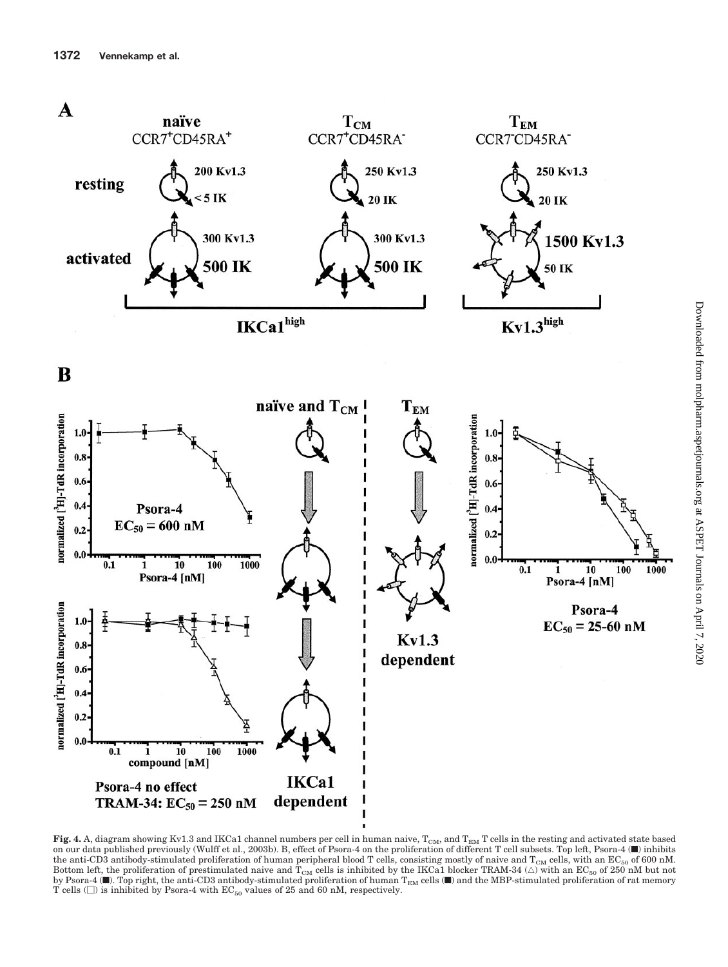

**Fig. 4.** A, diagram showing Kv1.3 and IKCa1 channel numbers per cell in human naive,  $T_{\text{CM}}$ , and  $T_{\text{EM}}$  T cells in the resting and activated state based on our data published previously (Wulff et al., 2003b). B, effect of Psora-4 on the proliferation of different T cell subsets. Top left, Psora-4 (f) inhibits the anti-CD3 antibody-stimulated proliferation of human peripheral blood T cells, consisting mostly of naive and  $T_{CM}$  cells, with an EC<sub>50</sub> of 600 nM. Bottom left, the proliferation of prestimulated naive and  $T_{CM}$  cells is inhibited by the IKCa1 blocker TRAM-34 ( $\triangle$ ) with an EC<sub>50</sub> of 250 nM but not by Psora-4 ( $\blacksquare$ ). Top right, the anti-CD3 antibody-stimulated proliferation of human T<sub>EM</sub> cells ( $\blacksquare$ ) and the MBP-stimulated proliferation of rat memory T cells  $(\square)$  is inhibited by Psora-4 with  $EC_{50}$  values of 25 and 60 nM, respectively.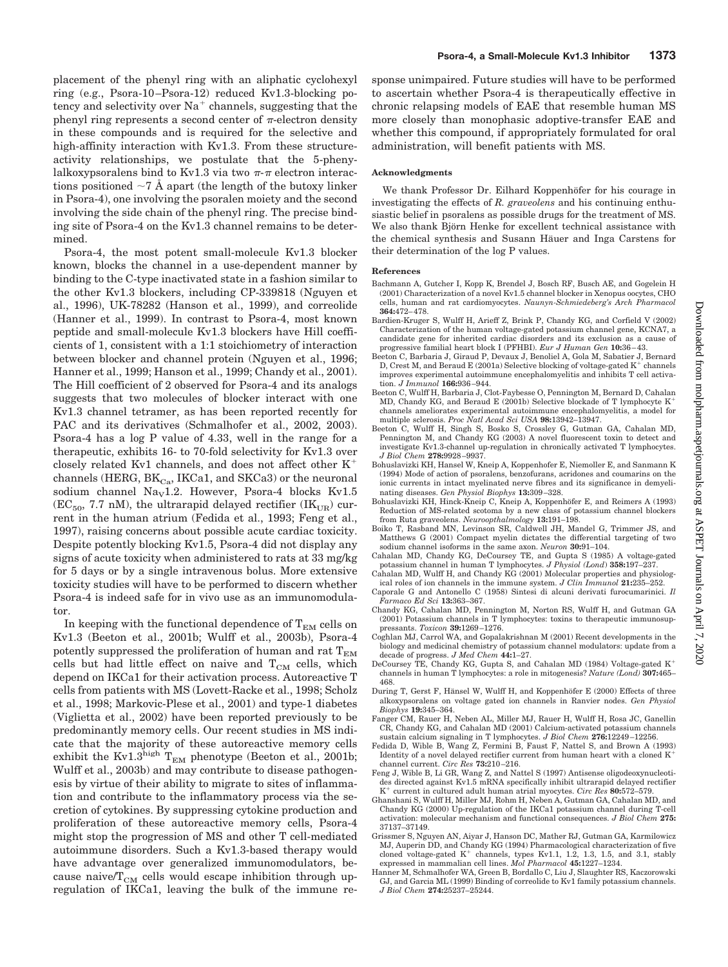placement of the phenyl ring with an aliphatic cyclohexyl ring (e.g., Psora-10–Psora-12) reduced Kv1.3-blocking potency and selectivity over  $Na<sup>+</sup>$  channels, suggesting that the phenyl ring represents a second center of  $\pi$ -electron density in these compounds and is required for the selective and high-affinity interaction with Kv1.3. From these structureactivity relationships, we postulate that the 5-phenylalkoxypsoralens bind to Kv1.3 via two  $\pi$ - $\pi$  electron interactions positioned  $\sim$ 7 Å apart (the length of the butoxy linker in Psora-4), one involving the psoralen moiety and the second involving the side chain of the phenyl ring. The precise binding site of Psora-4 on the Kv1.3 channel remains to be determined.

Psora-4, the most potent small-molecule Kv1.3 blocker known, blocks the channel in a use-dependent manner by binding to the C-type inactivated state in a fashion similar to the other Kv1.3 blockers, including CP-339818 (Nguyen et al., 1996), UK-78282 (Hanson et al., 1999), and correolide (Hanner et al., 1999). In contrast to Psora-4, most known peptide and small-molecule Kv1.3 blockers have Hill coefficients of 1, consistent with a 1:1 stoichiometry of interaction between blocker and channel protein (Nguyen et al., 1996; Hanner et al., 1999; Hanson et al., 1999; Chandy et al., 2001). The Hill coefficient of 2 observed for Psora-4 and its analogs suggests that two molecules of blocker interact with one Kv1.3 channel tetramer, as has been reported recently for PAC and its derivatives (Schmalhofer et al., 2002, 2003). Psora-4 has a log P value of 4.33, well in the range for a therapeutic, exhibits 16- to 70-fold selectivity for Kv1.3 over closely related Kv1 channels, and does not affect other K channels (HERG,  $BK_{Ca}$ , IKCa1, and SKCa3) or the neuronal sodium channel Na<sub>v</sub>1.2. However, Psora-4 blocks Kv1.5  $(EC_{50}, 7.7 \text{ nM})$ , the ultrarapid delayed rectifier  $(IK_{LIR})$  current in the human atrium (Fedida et al., 1993; Feng et al., 1997), raising concerns about possible acute cardiac toxicity. Despite potently blocking Kv1.5, Psora-4 did not display any signs of acute toxicity when administered to rats at 33 mg/kg for 5 days or by a single intravenous bolus. More extensive toxicity studies will have to be performed to discern whether Psora-4 is indeed safe for in vivo use as an immunomodulator.

In keeping with the functional dependence of  $T_{EM}$  cells on Kv1.3 (Beeton et al., 2001b; Wulff et al., 2003b), Psora-4 potently suppressed the proliferation of human and rat  $T_{EM}$ cells but had little effect on naive and  $T_{\rm CM}$  cells, which depend on IKCa1 for their activation process. Autoreactive T cells from patients with MS (Lovett-Racke et al., 1998; Scholz et al., 1998; Markovic-Plese et al., 2001) and type-1 diabetes (Viglietta et al., 2002) have been reported previously to be predominantly memory cells. Our recent studies in MS indicate that the majority of these autoreactive memory cells exhibit the Kv1.3high  $T_{\text{EM}}$  phenotype (Beeton et al., 2001b; Wulff et al., 2003b) and may contribute to disease pathogenesis by virtue of their ability to migrate to sites of inflammation and contribute to the inflammatory process via the secretion of cytokines. By suppressing cytokine production and proliferation of these autoreactive memory cells, Psora-4 might stop the progression of MS and other T cell-mediated autoimmune disorders. Such a Kv1.3-based therapy would have advantage over generalized immunomodulators, because naive/ $T_{CM}$  cells would escape inhibition through upregulation of IKCa1, leaving the bulk of the immune response unimpaired. Future studies will have to be performed to ascertain whether Psora-4 is therapeutically effective in chronic relapsing models of EAE that resemble human MS more closely than monophasic adoptive-transfer EAE and whether this compound, if appropriately formulated for oral administration, will benefit patients with MS.

#### **Acknowledgments**

We thank Professor Dr. Eilhard Koppenhöfer for his courage in investigating the effects of *R. graveolens* and his continuing enthusiastic belief in psoralens as possible drugs for the treatment of MS. We also thank Björn Henke for excellent technical assistance with the chemical synthesis and Susann Häuer and Inga Carstens for their determination of the log P values.

#### **References**

- Bachmann A, Gutcher I, Kopp K, Brendel J, Bosch RF, Busch AE, and Gogelein H (2001) Characterization of a novel Kv1.5 channel blocker in Xenopus oocytes, CHO cells, human and rat cardiomyocytes. *Naunyn-Schmiedeberg's Arch Pharmacol* **364:**472–478.
- Bardien-Kruger S, Wulff H, Arieff Z, Brink P, Chandy KG, and Corfield V (2002) Characterization of the human voltage-gated potassium channel gene, KCNA7, a candidate gene for inherited cardiac disorders and its exclusion as a cause of progressive familial heart block I (PFHBI). *Eur J Human Gen* **10:**36–43.
- Beeton C, Barbaria J, Giraud P, Devaux J, Benoliel A, Gola M, Sabatier J, Bernard D, Crest M, and Beraud E (2001a) Selective blocking of voltage-gated  $K^+$  channels improves experimental autoimmune encephalomyelitis and inhibits T cell activation. *J Immunol* **166:**936–944.
- Beeton C, Wulff H, Barbaria J, Clot-Faybesse O, Pennington M, Bernard D, Cahalan MD, Chandy KG, and Beraud E (2001b) Selective blockade of T lymphocyte K channels ameliorates experimental autoimmune encephalomyelitis, a model for multiple sclerosis. *Proc Natl Acad Sci USA* **98:**13942–13947.
- Beeton C, Wulff H, Singh S, Bosko S, Crossley G, Gutman GA, Cahalan MD, Pennington M, and Chandy KG (2003) A novel fluorescent toxin to detect and investigate Kv1.3-channel up-regulation in chronically activated T lymphocytes. *J Biol Chem* **278:**9928–9937.
- Bohuslavizki KH, Hansel W, Kneip A, Koppenhofer E, Niemoller E, and Sanmann K (1994) Mode of action of psoralens, benzofurans, acridones and coumarins on the ionic currents in intact myelinated nerve fibres and its significance in demyelinating diseases. *Gen Physiol Biophys* **13:**309–328.
- Bohuslavizki KH, Hinck-Kneip C, Kneip A, Koppenhöfer E, and Reimers A (1993) Reduction of MS-related scotoma by a new class of potassium channel blockers from Ruta graveolens. *Neuroopthalmology* **13:**191–198.
- Boiko T, Rasband MN, Levinson SR, Caldwell JH, Mandel G, Trimmer JS, and Matthews G (2001) Compact myelin dictates the differential targeting of two sodium channel isoforms in the same axon. *Neuron* **30:**91–104.
- Cahalan MD, Chandy KG, DeCoursey TE, and Gupta S (1985) A voltage-gated potassium channel in human T lymphocytes. *J Physiol (Lond*) **358:**197–237.
- Cahalan MD, Wulff H, and Chandy KG (2001) Molecular properties and physiological roles of ion channels in the immune system. *J Clin Immunol* **21:**235–252.
- Caporale G and Antonello C (1958) Sintesi di alcuni derivati furocumarinici. *Il Farmaco Ed Sci* **13:**363–367.
- Chandy KG, Cahalan MD, Pennington M, Norton RS, Wulff H, and Gutman GA (2001) Potassium channels in T lymphocytes: toxins to therapeutic immunosuppressants. *Toxicon* **39:**1269–1276.
- Coghlan MJ, Carrol WA, and Gopalakrishnan M (2001) Recent developments in the biology and medicinal chemistry of potassium channel modulators: update from a decade of progress. *J Med Chem* **44:**1–27.
- DeCoursey TE, Chandy KG, Gupta S, and Cahalan MD (1984) Voltage-gated K channels in human T lymphocytes: a role in mitogenesis? *Nature (Lond)* **307:**465– 468.
- During T, Gerst F, Hänsel W, Wulff H, and Koppenhöfer E (2000) Effects of three alkoxypsoralens on voltage gated ion channels in Ranvier nodes. *Gen Physiol Biophys* **19:**345–364.
- Fanger CM, Rauer H, Neben AL, Miller MJ, Rauer H, Wulff H, Rosa JC, Ganellin CR, Chandy KG, and Cahalan MD (2001) Calcium-activated potassium channels sustain calcium signaling in T lymphocytes. *J Biol Chem* **276:**12249–12256.
- Fedida D, Wible B, Wang Z, Fermini B, Faust F, Nattel S, and Brown A (1993) Identity of a novel delayed rectifier current from human heart with a cloned K channel current. *Circ Res* **73:**210–216.
- Feng J, Wible B, Li GR, Wang Z, and Nattel S (1997) Antisense oligodeoxynucleotides directed against Kv1.5 mRNA specifically inhibit ultrarapid delayed rectifier K<sup>+</sup> current in cultured adult human atrial myocytes. *Circ Res* 80:572-579.
- Ghanshani S, Wulff H, Miller MJ, Rohm H, Neben A, Gutman GA, Cahalan MD, and Chandy KG (2000) Up-regulation of the IKCa1 potassium channel during T-cell activation: molecular mechanism and functional consequences. *J Biol Chem* **275:** 37137–37149.
- Grissmer S, Nguyen AN, Aiyar J, Hanson DC, Mather RJ, Gutman GA, Karmilowicz MJ, Auperin DD, and Chandy KG (1994) Pharmacological characterization of five cloned voltage-gated  $K^+$  channels, types Kv1.1, 1.2, 1.3, 1.5, and 3.1, stably expressed in mammalian cell lines. *Mol Pharmacol* **45:**1227–1234.
- Hanner M, Schmalhofer WA, Green B, Bordallo C, Liu J, Slaughter RS, Kaczorowski GJ, and Garcia ML (1999) Binding of correolide to Kv1 family potassium channels. *J Biol Chem* **274:**25237–25244.